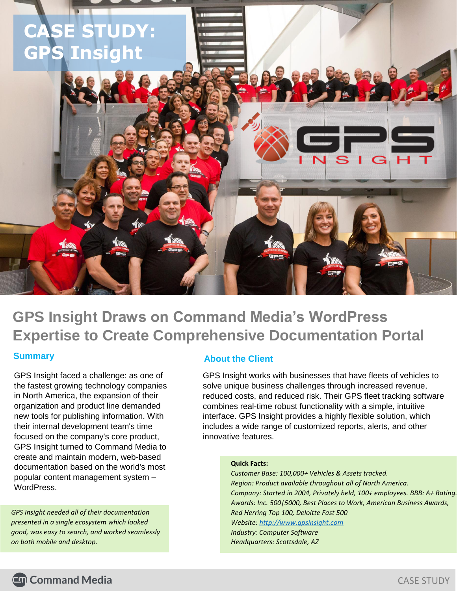

**GPS Insight Draws on Command Media's WordPress Expertise to Create Comprehensive Documentation Portal**

## **Summary**

GPS Insight faced a challenge: as one of the fastest growing technology companies in North America, the expansion of their organization and product line demanded new tools for publishing information. With their internal development team's time focused on the company's core product, GPS Insight turned to Command Media to create and maintain modern, web-based documentation based on the world's most popular content management system – WordPress.

*GPS Insight needed all of their documentation presented in a single ecosystem which looked good, was easy to search, and worked seamlessly on both mobile and desktop.*

### **About the Client**

GPS Insight works with businesses that have fleets of vehicles to solve unique business challenges through increased revenue, reduced costs, and reduced risk. Their GPS fleet tracking software combines real-time robust functionality with a simple, intuitive interface. GPS Insight provides a highly flexible solution, which includes a wide range of customized reports, alerts, and other innovative features.

#### **Quick Facts:**

*Customer Base: 100,000+ Vehicles & Assets tracked. Region: Product available throughout all of North America. Company: Started in 2004, Privately held, 100+ employees. BBB: A+ Rating. Awards: Inc. 500|5000, Best Places to Work, American Business Awards, Red Herring Top 100, Deloitte Fast 500 Website[: http://www.gpsinsight.com](http://www.gpsinsight.com/) Industry: Computer Software Headquarters: Scottsdale, AZ*